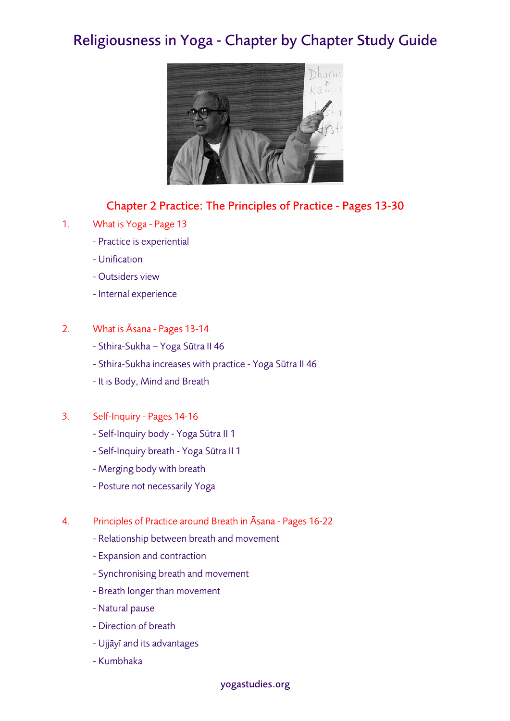## Religiousness in Yoga - Chapter by Chapter Study Guide



## Chapter 2 Practice: The Principles of Practice - Pages 13-30

- 1. What is Yoga Page 13
	- Practice is experiential
	- Unification
	- Outsiders view
	- Internal experience
- 2. What is Āsana Pages 13-14
	- Sthira-Sukha Yoga Sūtra II 46
	- Sthira-Sukha increases with practice Yoga Sūtra II 46
	- It is Body, Mind and Breath
- 3. Self-Inquiry Pages 14-16
	- Self-Inquiry body Yoga Sūtra II 1
	- Self-Inquiry breath Yoga Sūtra II 1
	- Merging body with breath
	- Posture not necessarily Yoga
- 4. Principles of Practice around Breath in Āsana Pages 16-22
	- Relationship between breath and movement
	- Expansion and contraction
	- Synchronising breath and movement
	- Breath longer than movement
	- Natural pause
	- Direction of breath
	- Ujjāyī and its advantages
	- Kumbhaka